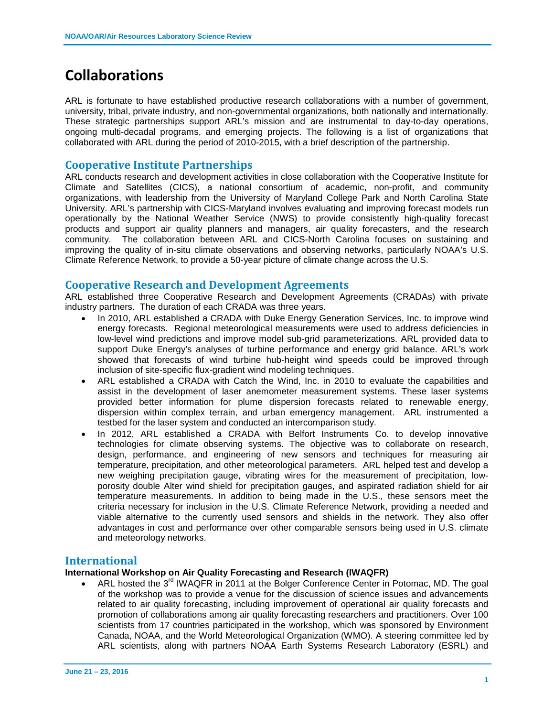# **Collaborations**

ARL is fortunate to have established productive research collaborations with a number of government, university, tribal, private industry, and non-governmental organizations, both nationally and internationally. These strategic partnerships support ARL's mission and are instrumental to day-to-day operations, ongoing multi-decadal programs, and emerging projects. The following is a list of organizations that collaborated with ARL during the period of 2010-2015, with a brief description of the partnership.

# **Cooperative Institute Partnerships**

ARL conducts research and development activities in close collaboration with the Cooperative Institute for Climate and Satellites (CICS), a national consortium of academic, non-profit, and community organizations, with leadership from the University of Maryland College Park and North Carolina State University. ARL's partnership with CICS-Maryland involves evaluating and improving forecast models run operationally by the National Weather Service (NWS) to provide consistently high-quality forecast products and support air quality planners and managers, air quality forecasters, and the research community. The collaboration between ARL and CICS-North Carolina focuses on sustaining and improving the quality of in-situ climate observations and observing networks, particularly NOAA's U.S. Climate Reference Network, to provide a 50-year picture of climate change across the U.S.

# **Cooperative Research and Development Agreements**

ARL established three Cooperative Research and Development Agreements (CRADAs) with private industry partners. The duration of each CRADA was three years.

- In 2010, ARL established a CRADA with Duke Energy Generation Services, Inc. to improve wind energy forecasts. Regional meteorological measurements were used to address deficiencies in low-level wind predictions and improve model sub-grid parameterizations. ARL provided data to support Duke Energy's analyses of turbine performance and energy grid balance. ARL's work showed that forecasts of wind turbine hub-height wind speeds could be improved through inclusion of site-specific flux-gradient wind modeling techniques.
- ARL established a CRADA with Catch the Wind, Inc. in 2010 to evaluate the capabilities and assist in the development of laser anemometer measurement systems. These laser systems provided better information for plume dispersion forecasts related to renewable energy, dispersion within complex terrain, and urban emergency management. ARL instrumented a testbed for the laser system and conducted an intercomparison study.
- In 2012, ARL established a CRADA with Belfort Instruments Co. to develop innovative technologies for climate observing systems. The objective was to collaborate on research, design, performance, and engineering of new sensors and techniques for measuring air temperature, precipitation, and other meteorological parameters. ARL helped test and develop a new weighing precipitation gauge, vibrating wires for the measurement of precipitation, lowporosity double Alter wind shield for precipitation gauges, and aspirated radiation shield for air temperature measurements. In addition to being made in the U.S., these sensors meet the criteria necessary for inclusion in the U.S. Climate Reference Network, providing a needed and viable alternative to the currently used sensors and shields in the network. They also offer advantages in cost and performance over other comparable sensors being used in U.S. climate and meteorology networks.

### **International**

### **International Workshop on Air Quality Forecasting and Research (IWAQFR)**

ARL hosted the 3<sup>rd</sup> IWAQFR in 2011 at the Bolger Conference Center in Potomac, MD. The goal of the workshop was to provide a venue for the discussion of science issues and advancements related to air quality forecasting, including improvement of operational air quality forecasts and promotion of collaborations among air quality forecasting researchers and practitioners. Over 100 scientists from 17 countries participated in the workshop, which was sponsored by Environment Canada, NOAA, and the World Meteorological Organization (WMO). A steering committee led by ARL scientists, along with partners NOAA Earth Systems Research Laboratory (ESRL) and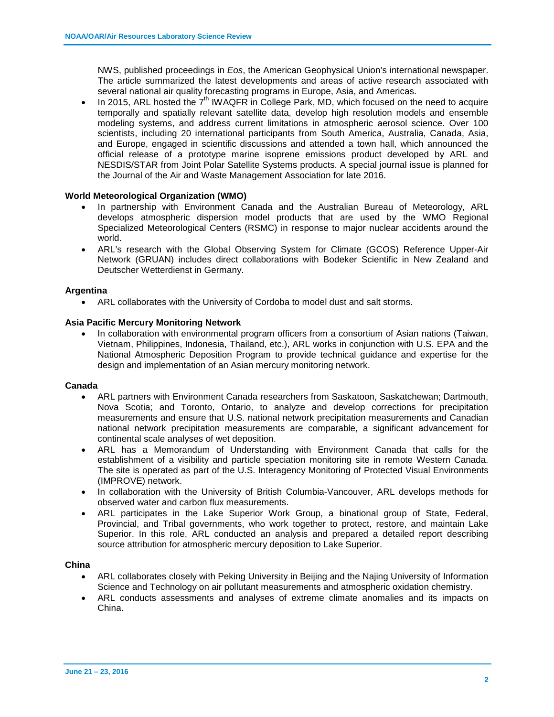NWS, published proceedings in *Eos*, the American Geophysical Union's international newspaper. The article summarized the latest developments and areas of active research associated with several national air quality forecasting programs in Europe, Asia, and Americas.

In 2015, ARL hosted the  $7<sup>th</sup>$  IWAQFR in College Park, MD, which focused on the need to acquire temporally and spatially relevant satellite data, develop high resolution models and ensemble modeling systems, and address current limitations in atmospheric aerosol science. Over 100 scientists, including 20 international participants from South America, Australia, Canada, Asia, and Europe, engaged in scientific discussions and attended a town hall, which announced the official release of a prototype marine isoprene emissions product developed by ARL and NESDIS/STAR from Joint Polar Satellite Systems products. A special journal issue is planned for the Journal of the Air and Waste Management Association for late 2016.

#### **World Meteorological Organization (WMO)**

- In partnership with Environment Canada and the Australian Bureau of Meteorology, ARL develops atmospheric dispersion model products that are used by the WMO Regional Specialized Meteorological Centers (RSMC) in response to major nuclear accidents around the world.
- ARL's research with the Global Observing System for Climate (GCOS) Reference Upper-Air Network (GRUAN) includes direct collaborations with Bodeker Scientific in New Zealand and Deutscher Wetterdienst in Germany.

#### **Argentina**

• ARL collaborates with the University of Cordoba to model dust and salt storms.

#### **Asia Pacific Mercury Monitoring Network**

• In collaboration with environmental program officers from a consortium of Asian nations (Taiwan, Vietnam, Philippines, Indonesia, Thailand, etc.), ARL works in conjunction with U.S. EPA and the National Atmospheric Deposition Program to provide technical guidance and expertise for the design and implementation of an Asian mercury monitoring network.

#### **Canada**

- ARL partners with Environment Canada researchers from Saskatoon, Saskatchewan; Dartmouth, Nova Scotia; and Toronto, Ontario, to analyze and develop corrections for precipitation measurements and ensure that U.S. national network precipitation measurements and Canadian national network precipitation measurements are comparable, a significant advancement for continental scale analyses of wet deposition.
- ARL has a Memorandum of Understanding with Environment Canada that calls for the establishment of a visibility and particle speciation monitoring site in remote Western Canada. The site is operated as part of the U.S. Interagency Monitoring of Protected Visual Environments (IMPROVE) network.
- In collaboration with the University of British Columbia-Vancouver, ARL develops methods for observed water and carbon flux measurements.
- ARL participates in the Lake Superior Work Group, a binational group of State, Federal, Provincial, and Tribal governments, who work together to protect, restore, and maintain Lake Superior. In this role, ARL conducted an analysis and prepared a detailed report describing source attribution for atmospheric mercury deposition to Lake Superior.

#### **China**

- ARL collaborates closely with Peking University in Beijing and the Najing University of Information Science and Technology on air pollutant measurements and atmospheric oxidation chemistry.
- ARL conducts assessments and analyses of extreme climate anomalies and its impacts on China.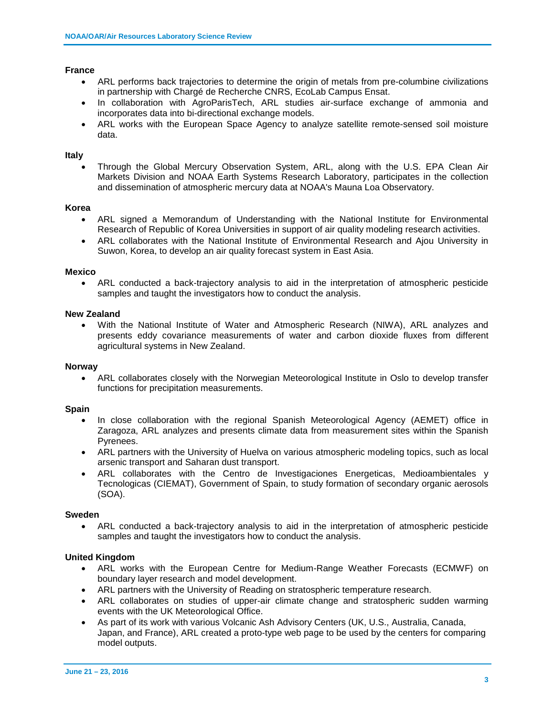### **France**

- ARL performs back trajectories to determine the origin of metals from pre-columbine civilizations in partnership with Chargé de Recherche CNRS, EcoLab Campus Ensat.
- In collaboration with AgroParisTech, ARL studies air-surface exchange of ammonia and incorporates data into bi-directional exchange models.
- ARL works with the European Space Agency to analyze satellite remote-sensed soil moisture data.

#### **Italy**

• Through the Global Mercury Observation System, ARL, along with the U.S. EPA Clean Air Markets Division and NOAA Earth Systems Research Laboratory, participates in the collection and dissemination of atmospheric mercury data at NOAA's Mauna Loa Observatory.

#### **Korea**

- ARL signed a Memorandum of Understanding with the National Institute for Environmental Research of Republic of Korea Universities in support of air quality modeling research activities.
- ARL collaborates with the National Institute of Environmental Research and Ajou University in Suwon, Korea, to develop an air quality forecast system in East Asia.

#### **Mexico**

• ARL conducted a back-trajectory analysis to aid in the interpretation of atmospheric pesticide samples and taught the investigators how to conduct the analysis.

#### **New Zealand**

• With the National Institute of Water and Atmospheric Research (NIWA), ARL analyzes and presents eddy covariance measurements of water and carbon dioxide fluxes from different agricultural systems in New Zealand.

#### **Norway**

• ARL collaborates closely with the Norwegian Meteorological Institute in Oslo to develop transfer functions for precipitation measurements.

#### **Spain**

- In close collaboration with the regional Spanish Meteorological Agency (AEMET) office in Zaragoza, ARL analyzes and presents climate data from measurement sites within the Spanish Pyrenees.
- ARL partners with the University of Huelva on various atmospheric modeling topics, such as local arsenic transport and Saharan dust transport.
- ARL collaborates with the Centro de Investigaciones Energeticas, Medioambientales y Tecnologicas (CIEMAT), Government of Spain, to study formation of secondary organic aerosols (SOA).

#### **Sweden**

• ARL conducted a back-trajectory analysis to aid in the interpretation of atmospheric pesticide samples and taught the investigators how to conduct the analysis.

#### **United Kingdom**

- ARL works with the European Centre for Medium-Range Weather Forecasts (ECMWF) on boundary layer research and model development.
- ARL partners with the University of Reading on stratospheric temperature research.
- ARL collaborates on studies of upper-air climate change and stratospheric sudden warming events with the UK Meteorological Office.
- As part of its work with various Volcanic Ash Advisory Centers (UK, U.S., Australia, Canada, Japan, and France), ARL created a proto-type web page to be used by the centers for comparing model outputs.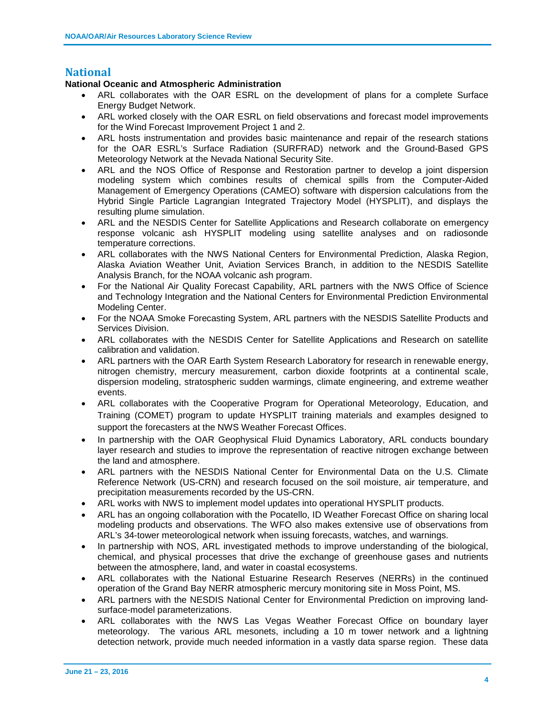# **National**

### **National Oceanic and Atmospheric Administration**

- ARL collaborates with the OAR ESRL on the development of plans for a complete Surface Energy Budget Network.
- ARL worked closely with the OAR ESRL on field observations and forecast model improvements for the Wind Forecast Improvement Project 1 and 2.
- ARL hosts instrumentation and provides basic maintenance and repair of the research stations for the OAR ESRL's Surface Radiation (SURFRAD) network and the Ground-Based GPS Meteorology Network at the Nevada National Security Site.
- ARL and the NOS Office of Response and Restoration partner to develop a joint dispersion modeling system which combines results of chemical spills from the Computer-Aided Management of Emergency Operations (CAMEO) software with dispersion calculations from the Hybrid Single Particle Lagrangian Integrated Trajectory Model (HYSPLIT), and displays the resulting plume simulation.
- ARL and the NESDIS Center for Satellite Applications and Research collaborate on emergency response volcanic ash HYSPLIT modeling using satellite analyses and on radiosonde temperature corrections.
- ARL collaborates with the NWS National Centers for Environmental Prediction, Alaska Region, Alaska Aviation Weather Unit, Aviation Services Branch, in addition to the NESDIS Satellite Analysis Branch, for the NOAA volcanic ash program.
- For the National Air Quality Forecast Capability, ARL partners with the NWS Office of Science and Technology Integration and the National Centers for Environmental Prediction Environmental Modeling Center.
- For the NOAA Smoke Forecasting System, ARL partners with the NESDIS Satellite Products and Services Division.
- ARL collaborates with the NESDIS Center for Satellite Applications and Research on satellite calibration and validation.
- ARL partners with the OAR Earth System Research Laboratory for research in renewable energy, nitrogen chemistry, mercury measurement, carbon dioxide footprints at a continental scale, dispersion modeling, stratospheric sudden warmings, climate engineering, and extreme weather events.
- ARL collaborates with the Cooperative Program for Operational Meteorology, Education, and Training (COMET) program to update HYSPLIT training materials and examples designed to support the forecasters at the NWS Weather Forecast Offices.
- In partnership with the OAR Geophysical Fluid Dynamics Laboratory, ARL conducts boundary layer research and studies to improve the representation of reactive nitrogen exchange between the land and atmosphere.
- ARL partners with the NESDIS National Center for Environmental Data on the U.S. Climate Reference Network (US-CRN) and research focused on the soil moisture, air temperature, and precipitation measurements recorded by the US-CRN.
- ARL works with NWS to implement model updates into operational HYSPLIT products.
- ARL has an ongoing collaboration with the Pocatello, ID Weather Forecast Office on sharing local modeling products and observations. The WFO also makes extensive use of observations from ARL's 34-tower meteorological network when issuing forecasts, watches, and warnings.
- In partnership with NOS, ARL investigated methods to improve understanding of the biological, chemical, and physical processes that drive the exchange of greenhouse gases and nutrients between the atmosphere, land, and water in coastal ecosystems.
- ARL collaborates with the National Estuarine Research Reserves (NERRs) in the continued operation of the Grand Bay NERR atmospheric mercury monitoring site in Moss Point, MS.
- ARL partners with the NESDIS National Center for Environmental Prediction on improving landsurface-model parameterizations.
- ARL collaborates with the NWS Las Vegas Weather Forecast Office on boundary layer meteorology. The various ARL mesonets, including a 10 m tower network and a lightning detection network, provide much needed information in a vastly data sparse region. These data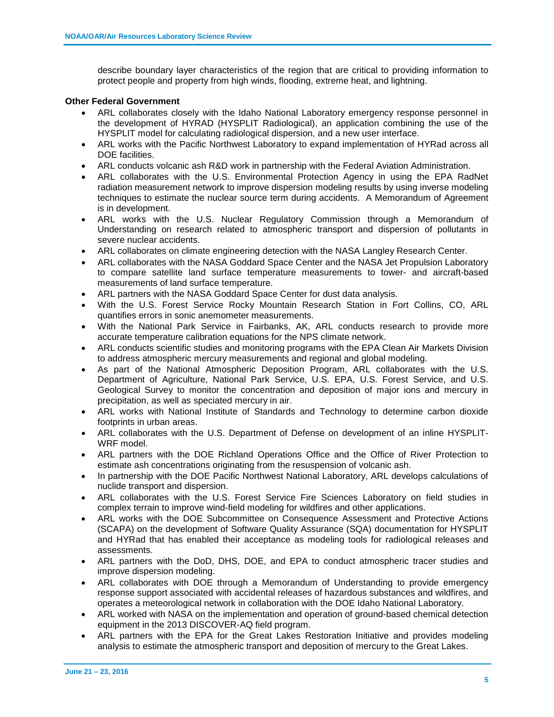describe boundary layer characteristics of the region that are critical to providing information to protect people and property from high winds, flooding, extreme heat, and lightning.

### **Other Federal Government**

- ARL collaborates closely with the Idaho National Laboratory emergency response personnel in the development of HYRAD (HYSPLIT Radiological), an application combining the use of the HYSPLIT model for calculating radiological dispersion, and a new user interface.
- ARL works with the Pacific Northwest Laboratory to expand implementation of HYRad across all DOE facilities.
- ARL conducts volcanic ash R&D work in partnership with the Federal Aviation Administration.
- ARL collaborates with the U.S. Environmental Protection Agency in using the EPA RadNet radiation measurement network to improve dispersion modeling results by using inverse modeling techniques to estimate the nuclear source term during accidents. A Memorandum of Agreement is in development.
- ARL works with the U.S. Nuclear Regulatory Commission through a Memorandum of Understanding on research related to atmospheric transport and dispersion of pollutants in severe nuclear accidents.
- ARL collaborates on climate engineering detection with the NASA Langley Research Center.
- ARL collaborates with the NASA Goddard Space Center and the NASA Jet Propulsion Laboratory to compare satellite land surface temperature measurements to tower- and aircraft-based measurements of land surface temperature.
- ARL partners with the NASA Goddard Space Center for dust data analysis.
- With the U.S. Forest Service Rocky Mountain Research Station in Fort Collins, CO, ARL quantifies errors in sonic anemometer measurements.
- With the National Park Service in Fairbanks, AK, ARL conducts research to provide more accurate temperature calibration equations for the NPS climate network.
- ARL conducts scientific studies and monitoring programs with the EPA Clean Air Markets Division to address atmospheric mercury measurements and regional and global modeling.
- As part of the National Atmospheric Deposition Program, ARL collaborates with the U.S. Department of Agriculture, National Park Service, U.S. EPA, U.S. Forest Service, and U.S. Geological Survey to monitor the concentration and deposition of major ions and mercury in precipitation, as well as speciated mercury in air.
- ARL works with National Institute of Standards and Technology to determine carbon dioxide footprints in urban areas.
- ARL collaborates with the U.S. Department of Defense on development of an inline HYSPLIT-WRF model.
- ARL partners with the DOE Richland Operations Office and the Office of River Protection to estimate ash concentrations originating from the resuspension of volcanic ash.
- In partnership with the DOE Pacific Northwest National Laboratory, ARL develops calculations of nuclide transport and dispersion.
- ARL collaborates with the U.S. Forest Service Fire Sciences Laboratory on field studies in complex terrain to improve wind-field modeling for wildfires and other applications.
- ARL works with the DOE Subcommittee on Consequence Assessment and Protective Actions (SCAPA) on the development of Software Quality Assurance (SQA) documentation for HYSPLIT and HYRad that has enabled their acceptance as modeling tools for radiological releases and assessments.
- ARL partners with the DoD, DHS, DOE, and EPA to conduct atmospheric tracer studies and improve dispersion modeling.
- ARL collaborates with DOE through a Memorandum of Understanding to provide emergency response support associated with accidental releases of hazardous substances and wildfires, and operates a meteorological network in collaboration with the DOE Idaho National Laboratory.
- ARL worked with NASA on the implementation and operation of ground-based chemical detection equipment in the 2013 DISCOVER-AQ field program.
- ARL partners with the EPA for the Great Lakes Restoration Initiative and provides modeling analysis to estimate the atmospheric transport and deposition of mercury to the Great Lakes.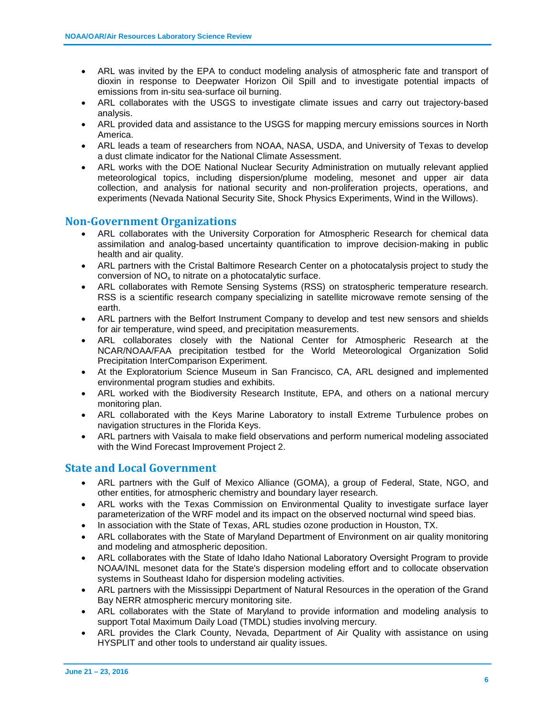- ARL was invited by the EPA to conduct modeling analysis of atmospheric fate and transport of dioxin in response to Deepwater Horizon Oil Spill and to investigate potential impacts of emissions from in-situ sea-surface oil burning.
- ARL collaborates with the USGS to investigate climate issues and carry out trajectory-based analysis.
- ARL provided data and assistance to the USGS for mapping mercury emissions sources in North America.
- ARL leads a team of researchers from NOAA, NASA, USDA, and University of Texas to develop a dust climate indicator for the National Climate Assessment.
- ARL works with the DOE National Nuclear Security Administration on mutually relevant applied meteorological topics, including dispersion/plume modeling, mesonet and upper air data collection, and analysis for national security and non-proliferation projects, operations, and experiments (Nevada National Security Site, Shock Physics Experiments, Wind in the Willows).

# **Non-Government Organizations**

- ARL collaborates with the University Corporation for Atmospheric Research for chemical data assimilation and analog-based uncertainty quantification to improve decision-making in public health and air quality.
- ARL partners with the Cristal Baltimore Research Center on a photocatalysis project to study the conversion of  $NO<sub>x</sub>$  to nitrate on a photocatalytic surface.
- ARL collaborates with Remote Sensing Systems (RSS) on stratospheric temperature research. RSS is a scientific research company specializing in satellite microwave remote sensing of the earth.
- ARL partners with the Belfort Instrument Company to develop and test new sensors and shields for air temperature, wind speed, and precipitation measurements.
- ARL collaborates closely with the National Center for Atmospheric Research at the NCAR/NOAA/FAA precipitation testbed for the World Meteorological Organization Solid Precipitation InterComparison Experiment.
- At the Exploratorium Science Museum in San Francisco, CA, ARL designed and implemented environmental program studies and exhibits.
- ARL worked with the Biodiversity Research Institute, EPA, and others on a national mercury monitoring plan.
- ARL collaborated with the Keys Marine Laboratory to install Extreme Turbulence probes on navigation structures in the Florida Keys.
- ARL partners with Vaisala to make field observations and perform numerical modeling associated with the Wind Forecast Improvement Project 2.

# **State and Local Government**

- ARL partners with the Gulf of Mexico Alliance (GOMA), a group of Federal, State, NGO, and other entities, for atmospheric chemistry and boundary layer research.
- ARL works with the Texas Commission on Environmental Quality to investigate surface layer parameterization of the WRF model and its impact on the observed nocturnal wind speed bias.
- In association with the State of Texas, ARL studies ozone production in Houston, TX.
- ARL collaborates with the State of Maryland Department of Environment on air quality monitoring and modeling and atmospheric deposition.
- ARL collaborates with the State of Idaho Idaho National Laboratory Oversight Program to provide NOAA/INL mesonet data for the State's dispersion modeling effort and to collocate observation systems in Southeast Idaho for dispersion modeling activities.
- ARL partners with the Mississippi Department of Natural Resources in the operation of the Grand Bay NERR atmospheric mercury monitoring site.
- ARL collaborates with the State of Maryland to provide information and modeling analysis to support Total Maximum Daily Load (TMDL) studies involving mercury.
- ARL provides the Clark County, Nevada, Department of Air Quality with assistance on using HYSPLIT and other tools to understand air quality issues.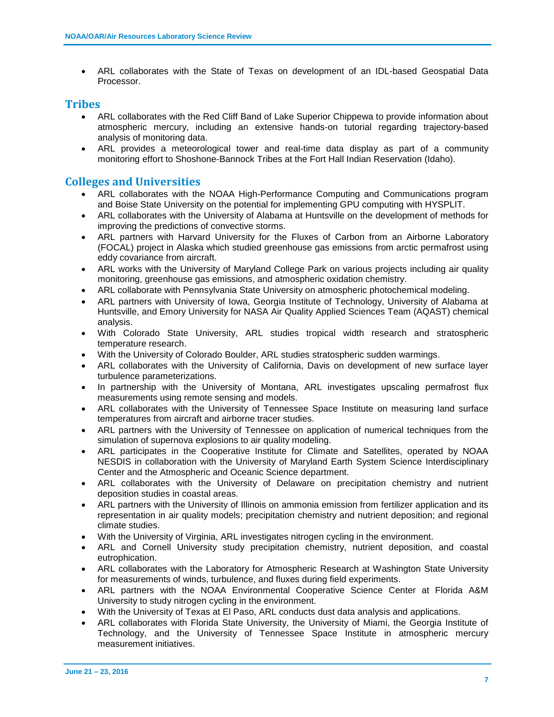• ARL collaborates with the State of Texas on development of an IDL-based Geospatial Data Processor.

## **Tribes**

- ARL collaborates with the Red Cliff Band of Lake Superior Chippewa to provide information about atmospheric mercury, including an extensive hands-on tutorial regarding trajectory-based analysis of monitoring data.
- ARL provides a meteorological tower and real-time data display as part of a community monitoring effort to Shoshone-Bannock Tribes at the Fort Hall Indian Reservation (Idaho).

# **Colleges and Universities**

- ARL collaborates with the NOAA High-Performance Computing and Communications program and Boise State University on the potential for implementing GPU computing with HYSPLIT.
- ARL collaborates with the University of Alabama at Huntsville on the development of methods for improving the predictions of convective storms.
- ARL partners with Harvard University for the Fluxes of Carbon from an Airborne Laboratory (FOCAL) project in Alaska which studied greenhouse gas emissions from arctic permafrost using eddy covariance from aircraft.
- ARL works with the University of Maryland College Park on various projects including air quality monitoring, greenhouse gas emissions, and atmospheric oxidation chemistry.
- ARL collaborate with Pennsylvania State University on atmospheric photochemical modeling.
- ARL partners with University of Iowa, Georgia Institute of Technology, University of Alabama at Huntsville, and Emory University for NASA Air Quality Applied Sciences Team (AQAST) chemical analysis.
- With Colorado State University, ARL studies tropical width research and stratospheric temperature research.
- With the University of Colorado Boulder, ARL studies stratospheric sudden warmings.
- ARL collaborates with the University of California, Davis on development of new surface layer turbulence parameterizations.
- In partnership with the University of Montana, ARL investigates upscaling permafrost flux measurements using remote sensing and models.
- ARL collaborates with the University of Tennessee Space Institute on measuring land surface temperatures from aircraft and airborne tracer studies.
- ARL partners with the University of Tennessee on application of numerical techniques from the simulation of supernova explosions to air quality modeling.
- ARL participates in the Cooperative Institute for Climate and Satellites, operated by NOAA NESDIS in collaboration with the University of Maryland Earth System Science Interdisciplinary Center and the Atmospheric and Oceanic Science department.
- ARL collaborates with the University of Delaware on precipitation chemistry and nutrient deposition studies in coastal areas.
- ARL partners with the University of Illinois on ammonia emission from fertilizer application and its representation in air quality models; precipitation chemistry and nutrient deposition; and regional climate studies.
- With the University of Virginia, ARL investigates nitrogen cycling in the environment.
- ARL and Cornell University study precipitation chemistry, nutrient deposition, and coastal eutrophication.
- ARL collaborates with the Laboratory for Atmospheric Research at Washington State University for measurements of winds, turbulence, and fluxes during field experiments.
- ARL partners with the NOAA Environmental Cooperative Science Center at Florida A&M University to study nitrogen cycling in the environment.
- With the University of Texas at El Paso, ARL conducts dust data analysis and applications.
- ARL collaborates with Florida State University, the University of Miami, the Georgia Institute of Technology, and the University of Tennessee Space Institute in atmospheric mercury measurement initiatives.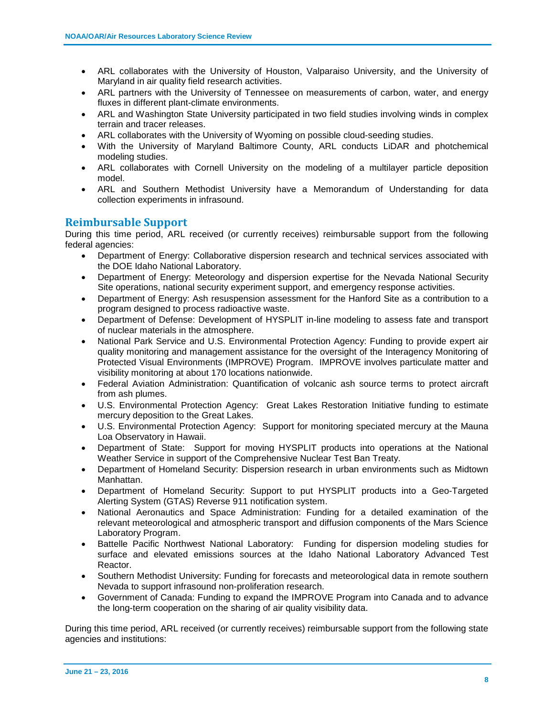- ARL collaborates with the University of Houston, Valparaiso University, and the University of Maryland in air quality field research activities.
- ARL partners with the University of Tennessee on measurements of carbon, water, and energy fluxes in different plant-climate environments.
- ARL and Washington State University participated in two field studies involving winds in complex terrain and tracer releases.
- ARL collaborates with the University of Wyoming on possible cloud-seeding studies.
- With the University of Maryland Baltimore County, ARL conducts LiDAR and photchemical modeling studies.
- ARL collaborates with Cornell University on the modeling of a multilayer particle deposition model.
- ARL and Southern Methodist University have a Memorandum of Understanding for data collection experiments in infrasound.

# **Reimbursable Support**

During this time period, ARL received (or currently receives) reimbursable support from the following federal agencies:

- Department of Energy: Collaborative dispersion research and technical services associated with the DOE Idaho National Laboratory.
- Department of Energy: Meteorology and dispersion expertise for the Nevada National Security Site operations, national security experiment support, and emergency response activities.
- Department of Energy: Ash resuspension assessment for the Hanford Site as a contribution to a program designed to process radioactive waste.
- Department of Defense: Development of HYSPLIT in-line modeling to assess fate and transport of nuclear materials in the atmosphere.
- National Park Service and U.S. Environmental Protection Agency: Funding to provide expert air quality monitoring and management assistance for the oversight of the Interagency Monitoring of Protected Visual Environments (IMPROVE) Program. IMPROVE involves particulate matter and visibility monitoring at about 170 locations nationwide.
- Federal Aviation Administration: Quantification of volcanic ash source terms to protect aircraft from ash plumes.
- U.S. Environmental Protection Agency: Great Lakes Restoration Initiative funding to estimate mercury deposition to the Great Lakes.
- U.S. Environmental Protection Agency: Support for monitoring speciated mercury at the Mauna Loa Observatory in Hawaii.
- Department of State: Support for moving HYSPLIT products into operations at the National Weather Service in support of the Comprehensive Nuclear Test Ban Treaty.
- Department of Homeland Security: Dispersion research in urban environments such as Midtown Manhattan.
- Department of Homeland Security: Support to put HYSPLIT products into a Geo-Targeted Alerting System (GTAS) Reverse 911 notification system.
- National Aeronautics and Space Administration: Funding for a detailed examination of the relevant meteorological and atmospheric transport and diffusion components of the Mars Science Laboratory Program.
- Battelle Pacific Northwest National Laboratory: Funding for dispersion modeling studies for surface and elevated emissions sources at the Idaho National Laboratory Advanced Test Reactor.
- Southern Methodist University: Funding for forecasts and meteorological data in remote southern Nevada to support infrasound non-proliferation research.
- Government of Canada: Funding to expand the IMPROVE Program into Canada and to advance the long-term cooperation on the sharing of air quality visibility data.

During this time period, ARL received (or currently receives) reimbursable support from the following state agencies and institutions: